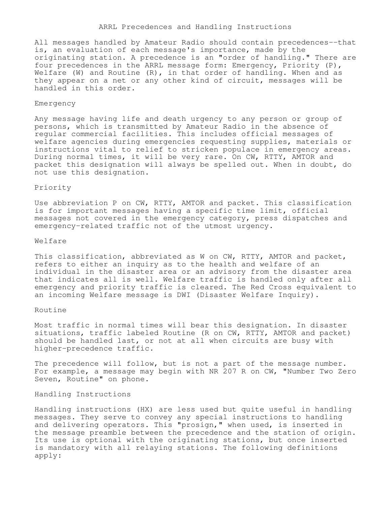#### ARRL Precedences and Handling Instructions

All messages handled by Amateur Radio should contain precedences--that is, an evaluation of each message's importance, made by the originating station. A precedence is an "order of handling." There are four precedences in the ARRL message form: Emergency, Priority (P), Welfare (W) and Routine  $(R)$ , in that order of handling. When and as they appear on a net or any other kind of circuit, messages will be handled in this order.

### Emergency

Any message having life and death urgency to any person or group of persons, which is transmitted by Amateur Radio in the absence of regular commercial facilities. This includes official messages of welfare agencies during emergencies requesting supplies, materials or instructions vital to relief to stricken populace in emergency areas. During normal times, it will be very rare. On CW, RTTY, AMTOR and packet this designation will always be spelled out. When in doubt, do not use this designation.

# Priority

Use abbreviation P on CW, RTTY, AMTOR and packet. This classification is for important messages having a specific time limit, official messages not covered in the emergency category, press dispatches and emergency-related traffic not of the utmost urgency.

### Welfare

This classification, abbreviated as W on CW, RTTY, AMTOR and packet, refers to either an inquiry as to the health and welfare of an individual in the disaster area or an advisory from the disaster area that indicates all is well. Welfare traffic is handled only after all emergency and priority traffic is cleared. The Red Cross equivalent to an incoming Welfare message is DWI (Disaster Welfare Inquiry).

## Routine

Most traffic in normal times will bear this designation. In disaster situations, traffic labeled Routine (R on CW, RTTY, AMTOR and packet) should be handled last, or not at all when circuits are busy with higher-precedence traffic.

The precedence will follow, but is not a part of the message number. For example, a message may begin with NR 207 R on CW, "Number Two Zero Seven, Routine" on phone.

Handling Instructions

Handling instructions (HX) are less used but quite useful in handling messages. They serve to convey any special instructions to handling and delivering operators. This "prosign," when used, is inserted in the message preamble between the precedence and the station of origin. Its use is optional with the originating stations, but once inserted is mandatory with all relaying stations. The following definitions apply: